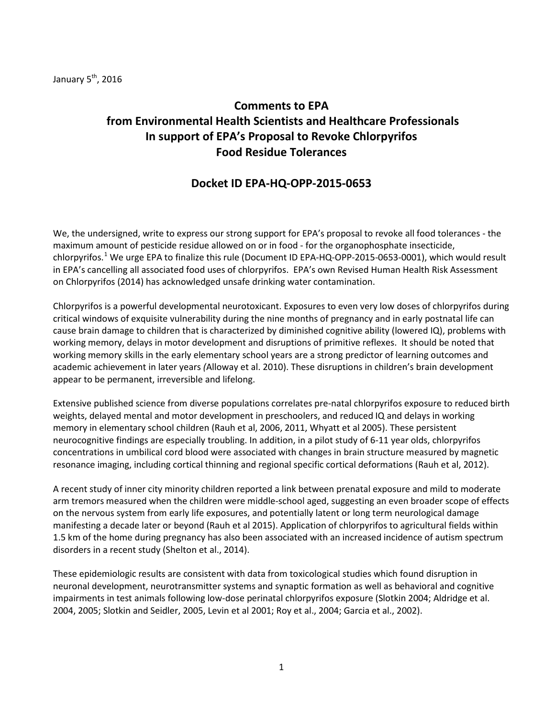## **Comments to EPA from Environmental Health Scientists and Healthcare Professionals In support of EPA's Proposal to Revoke Chlorpyrifos Food Residue Tolerances**

## **Docket ID EPA-HQ-OPP-2015-0653**

We, the undersigned, write to express our strong support for EPA's proposal to revoke all food tolerances - the maximum amount of pesticide residue allowed on or in food - for the organophosphate insecticide, chlorpyrifos.<sup>[1](#page-12-0)</sup> We urge EPA to finalize this rule (Document ID EPA-HQ-OPP-2015-0653-0001), which would result in EPA's cancelling all associated food uses of chlorpyrifos. EPA's own Revised Human Health Risk Assessment on Chlorpyrifos (2014) has acknowledged unsafe drinking water contamination.

Chlorpyrifos is a powerful developmental neurotoxicant. Exposures to even very low doses of chlorpyrifos during critical windows of exquisite vulnerability during the nine months of pregnancy and in early postnatal life can cause brain damage to children that is characterized by diminished cognitive ability (lowered IQ), problems with working memory, delays in motor development and disruptions of primitive reflexes. It should be noted that working memory skills in the early elementary school years are a strong predictor of learning outcomes and academic achievement in later years *(*Alloway et al. 2010). These disruptions in children's brain development appear to be permanent, irreversible and lifelong.

Extensive published science from diverse populations correlates pre-natal chlorpyrifos exposure to reduced birth weights, delayed mental and motor development in preschoolers, and reduced IQ and delays in working memory in elementary school children (Rauh et al, 2006, 2011, Whyatt et al 2005). These persistent neurocognitive findings are especially troubling. In addition, in a pilot study of 6-11 year olds, chlorpyrifos concentrations in umbilical cord blood were associated with changes in brain structure measured by magnetic resonance imaging, including cortical thinning and regional specific cortical deformations (Rauh et al, 2012).

A recent study of inner city minority children reported a link between prenatal exposure and mild to moderate arm tremors measured when the children were middle-school aged, suggesting an even broader scope of effects on the nervous system from early life exposures, and potentially latent or long term neurological damage manifesting a decade later or beyond (Rauh et al 2015). Application of chlorpyrifos to agricultural fields within 1.5 km of the home during pregnancy has also been associated with an increased incidence of autism spectrum disorders in a recent study (Shelton et al., 2014).

These epidemiologic results are consistent with data from toxicological studies which found disruption in neuronal development, neurotransmitter systems and synaptic formation as well as behavioral and cognitive impairments in test animals following low-dose perinatal chlorpyrifos exposure (Slotkin 2004; Aldridge et al. 2004, 2005; Slotkin and Seidler, 2005, Levin et al 2001; Roy et al., 2004; Garcia et al., 2002).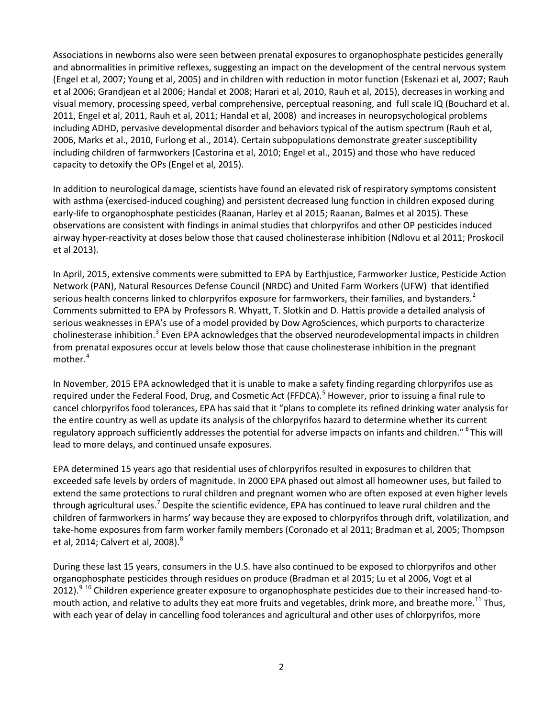Associations in newborns also were seen between prenatal exposures to organophosphate pesticides generally and abnormalities in primitive reflexes, suggesting an impact on the development of the central nervous system (Engel et al, 2007; Young et al, 2005) and in children with reduction in motor function (Eskenazi et al, 2007; Rauh et al 2006; Grandjean et al 2006; Handal et 2008; Harari et al, 2010, Rauh et al, 2015), decreases in working and visual memory, processing speed, verbal comprehensive, perceptual reasoning, and full scale IQ (Bouchard et al. 2011, Engel et al, 2011, Rauh et al, 2011; Handal et al, 2008) and increases in neuropsychological problems including ADHD, pervasive developmental disorder and behaviors typical of the autism spectrum (Rauh et al, 2006, Marks et al., 2010, Furlong et al., 2014). Certain subpopulations demonstrate greater susceptibility including children of farmworkers (Castorina et al, 2010; Engel et al., 2015) and those who have reduced capacity to detoxify the OPs (Engel et al, 2015).

In addition to neurological damage, scientists have found an elevated risk of respiratory symptoms consistent with asthma (exercised-induced coughing) and persistent decreased lung function in children exposed during early-life to organophosphate pesticides (Raanan, Harley et al 2015; Raanan, Balmes et al 2015). These observations are consistent with findings in animal studies that chlorpyrifos and other OP pesticides induced airway hyper-reactivity at doses below those that caused cholinesterase inhibition (Ndlovu et al 2011; Proskocil et al 2013).

In April, 2015, extensive comments were submitted to EPA by Earthjustice, Farmworker Justice, Pesticide Action Network (PAN), Natural Resources Defense Council (NRDC) and United Farm Workers (UFW) that identified serious health concerns linked to chlorpyrifos exposure for farmworkers, their families, and bystanders.<sup>[2](#page-12-1)</sup> Comments submitted to EPA by Professors R. Whyatt, T. Slotkin and D. Hattis provide a detailed analysis of serious weaknesses in EPA's use of a model provided by Dow AgroSciences, which purports to characterize cholinesterase inhibition.<sup>[3](#page-12-2)</sup> Even EPA acknowledges that the observed neurodevelopmental impacts in children from prenatal exposures occur at levels below those that cause cholinesterase inhibition in the pregnant mother.<sup>[4](#page-12-3)</sup>

In November, 2015 EPA acknowledged that it is unable to make a safety finding regarding chlorpyrifos use as required under the Federal Food, Drug, and Cosmetic Act (FFDCA).<sup>[5](#page-12-4)</sup> However, prior to issuing a final rule to cancel chlorpyrifos food tolerances, EPA has said that it "plans to complete its refined drinking water analysis for the entire country as well as update its analysis of the chlorpyrifos hazard to determine whether its current regulatory approach sufficiently addresses the potential for adverse impacts on infants and children." <sup>[6](#page-12-5)</sup> This will lead to more delays, and continued unsafe exposures.

EPA determined 15 years ago that residential uses of chlorpyrifos resulted in exposures to children that exceeded safe levels by orders of magnitude. In 2000 EPA phased out almost all homeowner uses, but failed to extend the same protections to rural children and pregnant women who are often exposed at even higher levels through agricultural uses.<sup>[7](#page-12-6)</sup> Despite the scientific evidence, EPA has continued to leave rural children and the children of farmworkers in harms' way because they are exposed to chlorpyrifos through drift, volatilization, and take-home exposures from farm worker family members (Coronado et al 2011; Bradman et al, 2005; Thompson et al, 2014; Calvert et al, 200[8](#page-12-7)). $^{8}$ 

During these last 15 years, consumers in the U.S. have also continued to be exposed to chlorpyrifos and other organophosphate pesticides through residues on produce (Bradman et al 2015; Lu et al 2006, Vogt et al 2012).<sup>[9](#page-12-8) [10](#page-12-9)</sup> Children experience greater exposure to organophosphate pesticides due to their increased hand-to-mouth action, and relative to adults they eat more fruits and vegetables, drink more, and breathe more.<sup>[11](#page-12-10)</sup> Thus, with each year of delay in cancelling food tolerances and agricultural and other uses of chlorpyrifos, more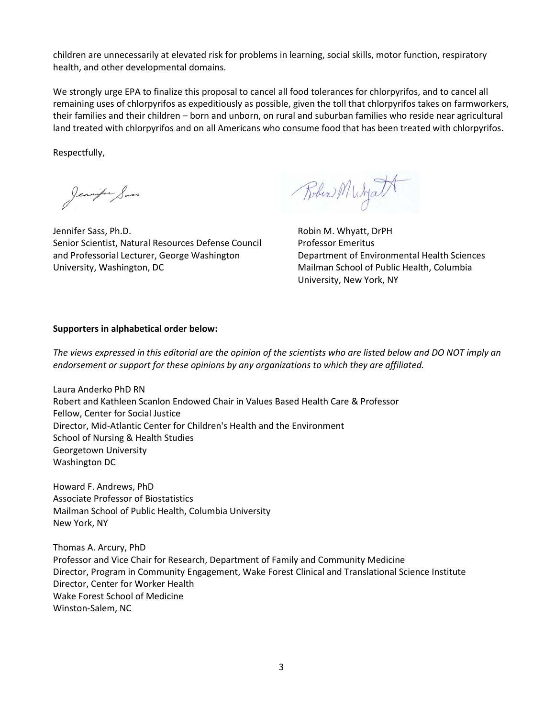children are unnecessarily at elevated risk for problems in learning, social skills, motor function, respiratory health, and other developmental domains.

We strongly urge EPA to finalize this proposal to cancel all food tolerances for chlorpyrifos, and to cancel all remaining uses of chlorpyrifos as expeditiously as possible, given the toll that chlorpyrifos takes on farmworkers, their families and their children – born and unborn, on rural and suburban families who reside near agricultural land treated with chlorpyrifos and on all Americans who consume food that has been treated with chlorpyrifos.

Respectfully,

Jennifer Sass

Jennifer Sass, Ph.D. Senior Scientist, Natural Resources Defense Council and Professorial Lecturer, George Washington University, Washington, DC

Robin M. Wyatt

Robin M. Whyatt, DrPH Professor Emeritus Department of Environmental Health Sciences Mailman School of Public Health, Columbia University, New York, NY

## **Supporters in alphabetical order below:**

*The views expressed in this editorial are the opinion of the scientists who are listed below and DO NOT imply an endorsement or support for these opinions by any organizations to which they are affiliated.* 

Laura Anderko PhD RN Robert and Kathleen Scanlon Endowed Chair in Values Based Health Care & Professor Fellow, Center for Social Justice Director, Mid-Atlantic Center for Children's Health and the Environment School of Nursing & Health Studies Georgetown University Washington DC

Howard F. Andrews, PhD Associate Professor of Biostatistics Mailman School of Public Health, Columbia University New York, NY

Thomas A. Arcury, PhD Professor and Vice Chair for Research, Department of Family and Community Medicine Director, Program in Community Engagement, Wake Forest Clinical and Translational Science Institute Director, Center for Worker Health Wake Forest School of Medicine Winston-Salem, NC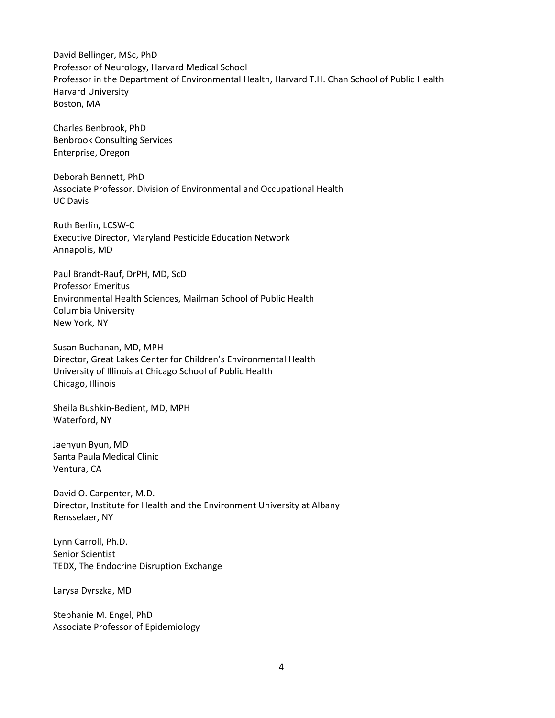David Bellinger, MSc, PhD Professor of Neurology, Harvard Medical School Professor in the Department of Environmental Health, Harvard T.H. Chan School of Public Health Harvard University Boston, MA

Charles Benbrook, PhD Benbrook Consulting Services Enterprise, Oregon

Deborah Bennett, PhD Associate Professor, Division of Environmental and Occupational Health UC Davis

Ruth Berlin, LCSW-C Executive Director, Maryland Pesticide Education Network Annapolis, MD

Paul Brandt-Rauf, DrPH, MD, ScD Professor Emeritus Environmental Health Sciences, Mailman School of Public Health Columbia University New York, NY

Susan Buchanan, MD, MPH Director, Great Lakes Center for Children's Environmental Health University of Illinois at Chicago School of Public Health Chicago, Illinois

Sheila Bushkin-Bedient, MD, MPH Waterford, NY

Jaehyun Byun, MD Santa Paula Medical Clinic Ventura, CA

David O. Carpenter, M.D. Director, Institute for Health and the Environment University at Albany Rensselaer, NY

Lynn Carroll, Ph.D. Senior Scientist TEDX, The Endocrine Disruption Exchange

Larysa Dyrszka, MD

Stephanie M. Engel, PhD Associate Professor of Epidemiology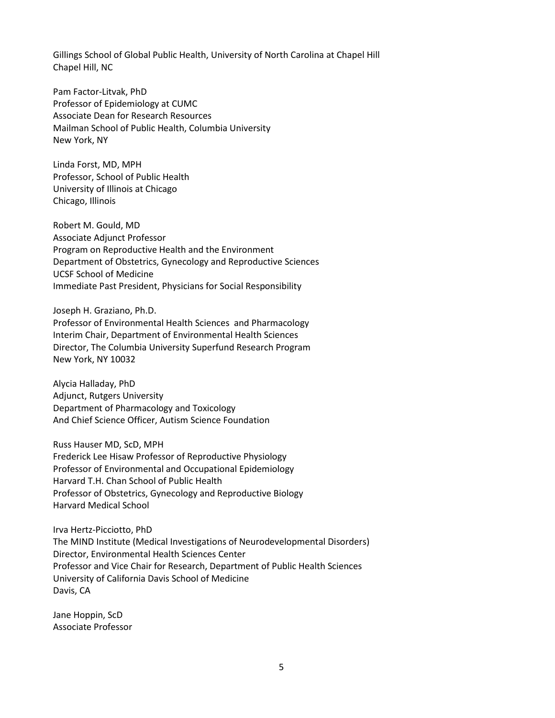Gillings School of Global Public Health, University of North Carolina at Chapel Hill Chapel Hill, NC

Pam Factor-Litvak, PhD Professor of Epidemiology at CUMC Associate Dean for Research Resources Mailman School of Public Health, Columbia University New York, NY

Linda Forst, MD, MPH Professor, School of Public Health University of Illinois at Chicago Chicago, Illinois

Robert M. Gould, MD Associate Adjunct Professor Program on Reproductive Health and the Environment Department of Obstetrics, Gynecology and Reproductive Sciences UCSF School of Medicine Immediate Past President, Physicians for Social Responsibility

Joseph H. Graziano, Ph.D.

Professor of Environmental Health Sciences and Pharmacology Interim Chair, Department of Environmental Health Sciences Director, The Columbia University Superfund Research Program New York, NY 10032

Alycia Halladay, PhD Adjunct, Rutgers University Department of Pharmacology and Toxicology And Chief Science Officer, Autism Science Foundation

Russ Hauser MD, ScD, MPH Frederick Lee Hisaw Professor of Reproductive Physiology Professor of Environmental and Occupational Epidemiology Harvard T.H. Chan School of Public Health Professor of Obstetrics, Gynecology and Reproductive Biology Harvard Medical School

Irva Hertz-Picciotto, PhD The MIND Institute (Medical Investigations of Neurodevelopmental Disorders) Director, Environmental Health Sciences Center Professor and Vice Chair for Research, Department of Public Health Sciences University of California Davis School of Medicine Davis, CA

Jane Hoppin, ScD Associate Professor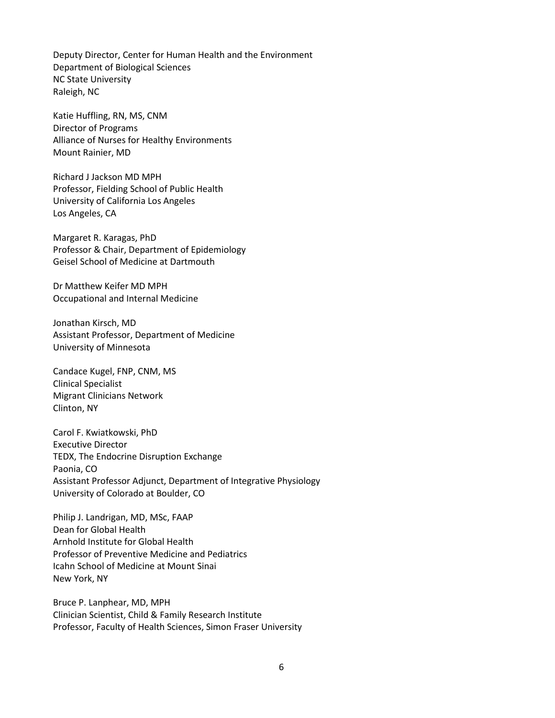Deputy Director, Center for Human Health and the Environment Department of Biological Sciences NC State University Raleigh, NC

Katie Huffling, RN, MS, CNM Director of Programs Alliance of Nurses for Healthy Environments Mount Rainier, MD

Richard J Jackson MD MPH Professor, Fielding School of Public Health University of California Los Angeles Los Angeles, CA

Margaret R. Karagas, PhD Professor & Chair, Department of Epidemiology Geisel School of Medicine at Dartmouth

Dr Matthew Keifer MD MPH Occupational and Internal Medicine

Jonathan Kirsch, MD Assistant Professor, Department of Medicine University of Minnesota

Candace Kugel, FNP, CNM, MS Clinical Specialist Migrant Clinicians Network Clinton, NY

Carol F. Kwiatkowski, PhD Executive Director TEDX, The Endocrine Disruption Exchange Paonia, CO Assistant Professor Adjunct, Department of Integrative Physiology University of Colorado at Boulder, CO

Philip J. Landrigan, MD, MSc, FAAP Dean for Global Health Arnhold Institute for Global Health Professor of Preventive Medicine and Pediatrics Icahn School of Medicine at Mount Sinai New York, NY

Bruce P. Lanphear, MD, MPH Clinician Scientist, Child & Family Research Institute Professor, Faculty of Health Sciences, Simon Fraser University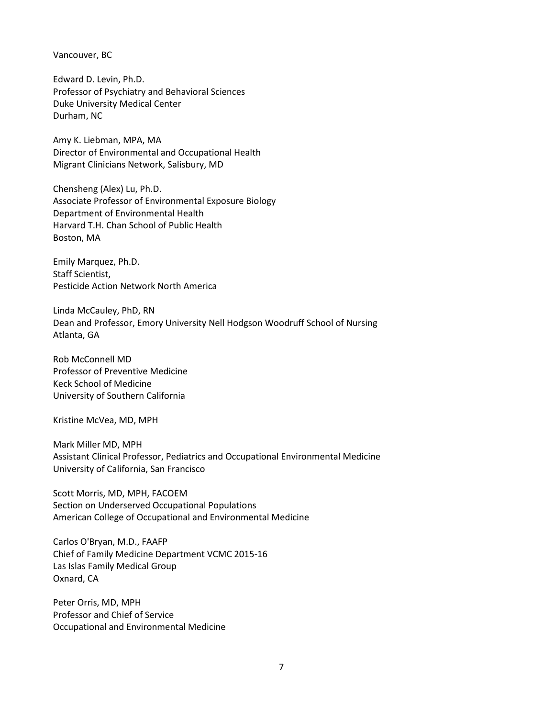Vancouver, BC

Edward D. Levin, Ph.D. Professor of Psychiatry and Behavioral Sciences Duke University Medical Center Durham, NC

Amy K. Liebman, MPA, MA Director of Environmental and Occupational Health Migrant Clinicians Network, Salisbury, MD

Chensheng (Alex) Lu, Ph.D. Associate Professor of Environmental Exposure Biology Department of Environmental Health Harvard T.H. Chan School of Public Health Boston, MA

Emily Marquez, Ph.D. Staff Scientist, Pesticide Action Network North America

Linda McCauley, PhD, RN Dean and Professor, Emory University Nell Hodgson Woodruff School of Nursing Atlanta, GA

Rob McConnell MD Professor of Preventive Medicine Keck School of Medicine University of Southern California

Kristine McVea, MD, MPH

Mark Miller MD, MPH Assistant Clinical Professor, Pediatrics and Occupational Environmental Medicine University of California, San Francisco

Scott Morris, MD, MPH, FACOEM Section on Underserved Occupational Populations American College of Occupational and Environmental Medicine

Carlos O'Bryan, M.D., FAAFP Chief of Family Medicine Department VCMC 2015-16 Las Islas Family Medical Group Oxnard, CA

Peter Orris, MD, MPH Professor and Chief of Service Occupational and Environmental Medicine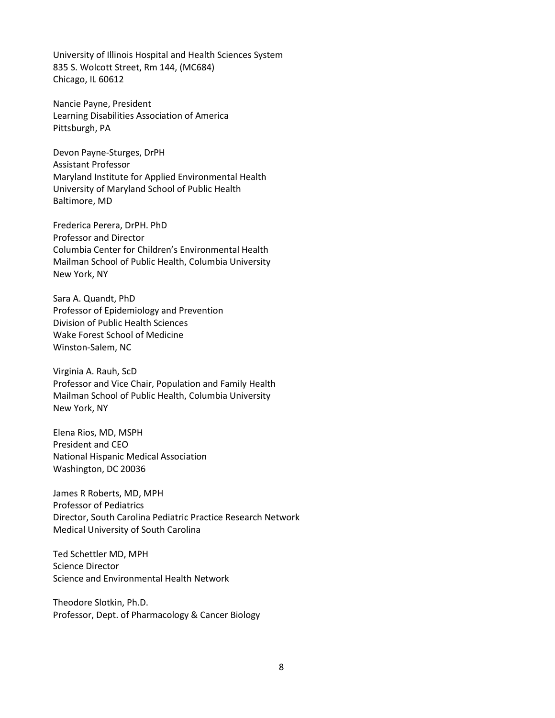University of Illinois Hospital and Health Sciences System 835 S. Wolcott Street, Rm 144, (MC684) Chicago, IL 60612

Nancie Payne, President Learning Disabilities Association of America Pittsburgh, PA

Devon Payne-Sturges, DrPH Assistant Professor Maryland Institute for Applied Environmental Health University of Maryland School of Public Health Baltimore, MD

Frederica Perera, DrPH. PhD Professor and Director Columbia Center for Children's Environmental Health Mailman School of Public Health, Columbia University New York, NY

Sara A. Quandt, PhD Professor of Epidemiology and Prevention Division of Public Health Sciences Wake Forest School of Medicine Winston-Salem, NC

Virginia A. Rauh, ScD Professor and Vice Chair, Population and Family Health Mailman School of Public Health, Columbia University New York, NY

Elena Rios, MD, MSPH President and CEO National Hispanic Medical Association Washington, DC 20036

James R Roberts, MD, MPH Professor of Pediatrics Director, South Carolina Pediatric Practice Research Network Medical University of South Carolina

Ted Schettler MD, MPH Science Director Science and Environmental Health Network

Theodore Slotkin, Ph.D. Professor, Dept. of Pharmacology & Cancer Biology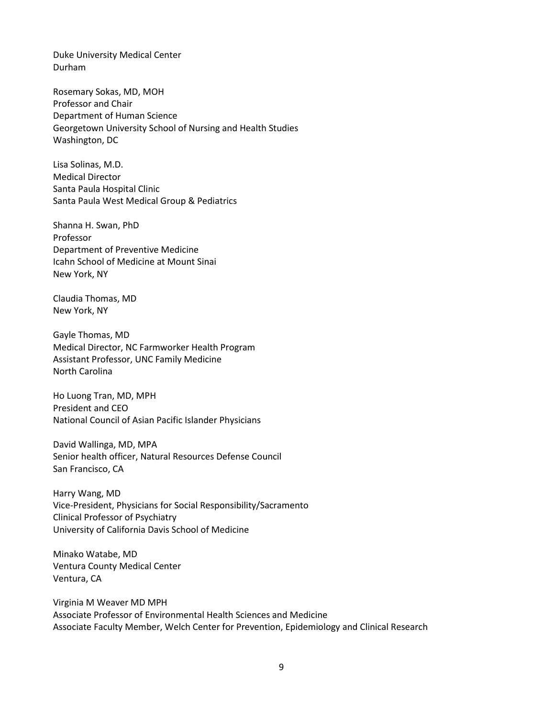Duke University Medical Center Durham

Rosemary Sokas, MD, MOH Professor and Chair Department of Human Science Georgetown University School of Nursing and Health Studies Washington, DC

Lisa Solinas, M.D. Medical Director Santa Paula Hospital Clinic Santa Paula West Medical Group & Pediatrics

Shanna H. Swan, PhD Professor Department of Preventive Medicine Icahn School of Medicine at Mount Sinai New York, NY

Claudia Thomas, MD New York, NY

Gayle Thomas, MD Medical Director, NC Farmworker Health Program Assistant Professor, UNC Family Medicine North Carolina

Ho Luong Tran, MD, MPH President and CEO National Council of Asian Pacific Islander Physicians

David Wallinga, MD, MPA Senior health officer, Natural Resources Defense Council San Francisco, CA

Harry Wang, MD Vice-President, Physicians for Social Responsibility/Sacramento Clinical Professor of Psychiatry University of California Davis School of Medicine

Minako Watabe, MD Ventura County Medical Center Ventura, CA

Virginia M Weaver MD MPH Associate Professor of Environmental Health Sciences and Medicine Associate Faculty Member, Welch Center for Prevention, Epidemiology and Clinical Research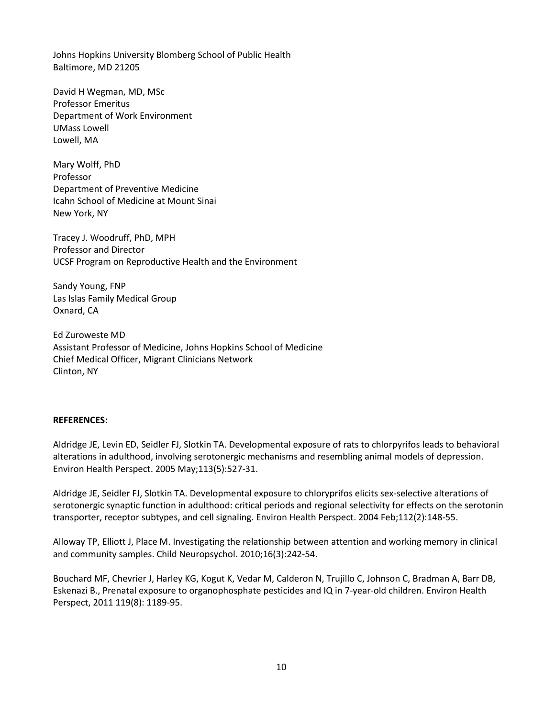Johns Hopkins University Blomberg School of Public Health Baltimore, MD 21205

David H Wegman, MD, MSc Professor Emeritus Department of Work Environment UMass Lowell Lowell, MA

Mary Wolff, PhD Professor Department of Preventive Medicine Icahn School of Medicine at Mount Sinai New York, NY

Tracey J. Woodruff, PhD, MPH Professor and Director UCSF Program on Reproductive Health and the Environment

Sandy Young, FNP Las Islas Family Medical Group Oxnard, CA

Ed Zuroweste MD Assistant Professor of Medicine, Johns Hopkins School of Medicine Chief Medical Officer, Migrant Clinicians Network Clinton, NY

## **REFERENCES:**

Aldridge JE, Levin ED, Seidler FJ, Slotkin TA. Developmental exposure of rats to chlorpyrifos leads to behavioral alterations in adulthood, involving serotonergic mechanisms and resembling animal models of depression. Environ Health Perspect. 2005 May;113(5):527-31.

Aldridge JE, Seidler FJ, Slotkin TA. Developmental exposure to chloryprifos elicits sex-selective alterations of serotonergic synaptic function in adulthood: critical periods and regional selectivity for effects on the serotonin transporter, receptor subtypes, and cell signaling. Environ Health Perspect. 2004 Feb;112(2):148-55.

Alloway TP, Elliott J, Place M. Investigating the relationship between attention and working memory in clinical and community samples. Child Neuropsychol. 2010;16(3):242-54.

[Bouchard MF,](http://www.ncbi.nlm.nih.gov.ezproxy.cul.columbia.edu/pubmed/?term=Bouchard%20MF%5BAuthor%5D&cauthor=true&cauthor_uid=21507776) [Chevrier J,](http://www.ncbi.nlm.nih.gov.ezproxy.cul.columbia.edu/pubmed/?term=Chevrier%20J%5BAuthor%5D&cauthor=true&cauthor_uid=21507776) [Harley KG,](http://www.ncbi.nlm.nih.gov.ezproxy.cul.columbia.edu/pubmed/?term=Harley%20KG%5BAuthor%5D&cauthor=true&cauthor_uid=21507776) [Kogut K,](http://www.ncbi.nlm.nih.gov.ezproxy.cul.columbia.edu/pubmed/?term=Kogut%20K%5BAuthor%5D&cauthor=true&cauthor_uid=21507776) [Vedar M,](http://www.ncbi.nlm.nih.gov.ezproxy.cul.columbia.edu/pubmed/?term=Vedar%20M%5BAuthor%5D&cauthor=true&cauthor_uid=21507776) [Calderon N,](http://www.ncbi.nlm.nih.gov.ezproxy.cul.columbia.edu/pubmed/?term=Calderon%20N%5BAuthor%5D&cauthor=true&cauthor_uid=21507776) [Trujillo C,](http://www.ncbi.nlm.nih.gov.ezproxy.cul.columbia.edu/pubmed/?term=Trujillo%20C%5BAuthor%5D&cauthor=true&cauthor_uid=21507776) [Johnson C,](http://www.ncbi.nlm.nih.gov.ezproxy.cul.columbia.edu/pubmed/?term=Johnson%20C%5BAuthor%5D&cauthor=true&cauthor_uid=21507776) [Bradman A,](http://www.ncbi.nlm.nih.gov.ezproxy.cul.columbia.edu/pubmed/?term=Bradman%20A%5BAuthor%5D&cauthor=true&cauthor_uid=21507776) [Barr DB,](http://www.ncbi.nlm.nih.gov.ezproxy.cul.columbia.edu/pubmed/?term=Barr%20DB%5BAuthor%5D&cauthor=true&cauthor_uid=21507776) [Eskenazi B.](http://www.ncbi.nlm.nih.gov.ezproxy.cul.columbia.edu/pubmed/?term=Eskenazi%20B%5BAuthor%5D&cauthor=true&cauthor_uid=21507776), Prenatal exposure to organophosphate pesticides and IQ in 7-year-old children. Environ Health Perspect, 2011 119(8): 1189-95.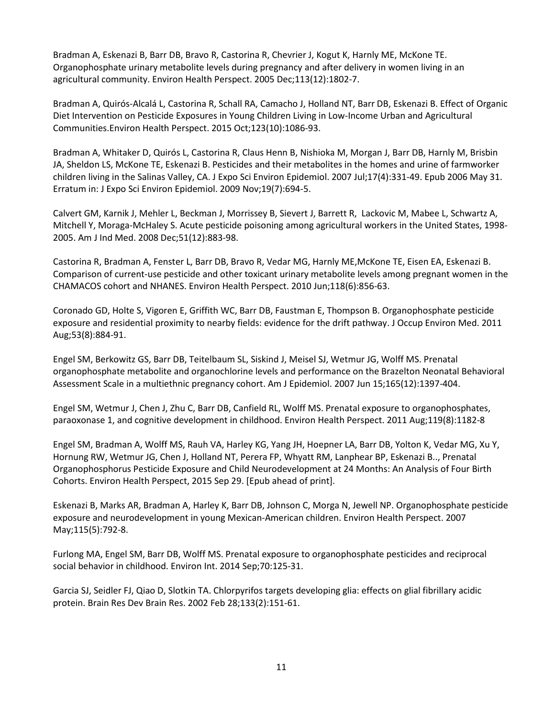Bradman A, Eskenazi B, Barr DB, Bravo R, Castorina R, Chevrier J, Kogut K, Harnly ME, McKone TE. Organophosphate urinary metabolite levels during pregnancy and after delivery in women living in an agricultural community. Environ Health Perspect. 2005 Dec;113(12):1802-7.

Bradman A, Quirós-Alcalá L, Castorina R, Schall RA, Camacho J, Holland NT, Barr DB, Eskenazi B. Effect of Organic Diet Intervention on Pesticide Exposures in Young Children Living in Low-Income Urban and Agricultural Communities.Environ Health Perspect. 2015 Oct;123(10):1086-93.

Bradman A, Whitaker D, Quirós L, Castorina R, Claus Henn B, Nishioka M, Morgan J, Barr DB, Harnly M, Brisbin JA, Sheldon LS, McKone TE, Eskenazi B. Pesticides and their metabolites in the homes and urine of farmworker children living in the Salinas Valley, CA. J Expo Sci Environ Epidemiol. 2007 Jul;17(4):331-49. Epub 2006 May 31. Erratum in: J Expo Sci Environ Epidemiol. 2009 Nov;19(7):694-5.

Calvert GM, Karnik J, Mehler L, Beckman J, Morrissey B, Sievert J, Barrett R, Lackovic M, Mabee L, Schwartz A, Mitchell Y, Moraga-McHaley S. Acute pesticide poisoning among agricultural workers in the United States, 1998- 2005. Am J Ind Med. 2008 Dec;51(12):883-98.

Castorina R, Bradman A, Fenster L, Barr DB, Bravo R, Vedar MG, Harnly ME,McKone TE, Eisen EA, Eskenazi B. Comparison of current-use pesticide and other toxicant urinary metabolite levels among pregnant women in the CHAMACOS cohort and NHANES. Environ Health Perspect. 2010 Jun;118(6):856-63.

Coronado GD, Holte S, Vigoren E, Griffith WC, Barr DB, Faustman E, Thompson B. Organophosphate pesticide exposure and residential proximity to nearby fields: evidence for the drift pathway. J Occup Environ Med. 2011 Aug;53(8):884-91.

Engel SM, Berkowitz GS, Barr DB, Teitelbaum SL, Siskind J, Meisel SJ, Wetmur JG, Wolff MS. Prenatal organophosphate metabolite and organochlorine levels and performance on the Brazelton Neonatal Behavioral Assessment Scale in a multiethnic pregnancy cohort. Am J Epidemiol. 2007 Jun 15;165(12):1397-404.

Engel SM, Wetmur J, Chen J, Zhu C, Barr DB, Canfield RL, Wolff MS. Prenatal exposure to organophosphates, paraoxonase 1, and cognitive development in childhood. Environ Health Perspect. 2011 Aug;119(8):1182-8

Engel SM, Bradman A, Wolff MS, Rauh VA, Harley KG, Yang JH, Hoepner LA, Barr DB, Yolton K, Vedar MG, Xu Y, Hornung RW, Wetmur JG, Chen J, Holland NT, Perera FP, Whyatt RM, Lanphear BP, Eskenazi B.., Prenatal Organophosphorus Pesticide Exposure and Child Neurodevelopment at 24 Months: An Analysis of Four Birth Cohorts. Environ Health Perspect, 2015 Sep 29. [Epub ahead of print].

Eskenazi B, Marks AR, Bradman A, Harley K, Barr DB, Johnson C, Morga N, Jewell NP. Organophosphate pesticide exposure and neurodevelopment in young Mexican-American children. Environ Health Perspect. 2007 May;115(5):792-8.

Furlong MA, Engel SM, Barr DB, Wolff MS. Prenatal exposure to organophosphate pesticides and reciprocal social behavior in childhood. Environ Int. 2014 Sep;70:125-31.

Garcia SJ, Seidler FJ, Qiao D, Slotkin TA. Chlorpyrifos targets developing glia: effects on glial fibrillary acidic protein. Brain Res Dev Brain Res. 2002 Feb 28;133(2):151-61.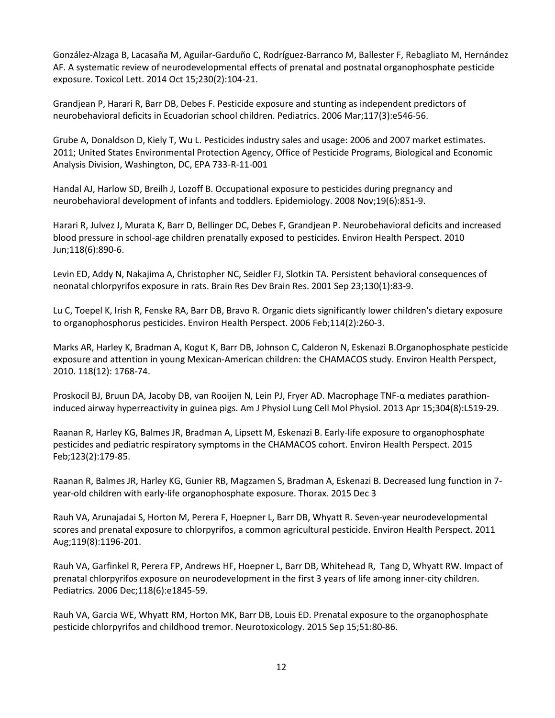González-Alzaga B, Lacasaña M, Aguilar-Garduño C, Rodríguez-Barranco M, Ballester F, Rebagliato M, Hernández AF. A systematic review of neurodevelopmental effects of prenatal and postnatal organophosphate pesticide exposure. Toxicol Lett. 2014 Oct 15;230(2):104-21.

Grandjean P, Harari R, Barr DB, Debes F. Pesticide exposure and stunting as independent predictors of neurobehavioral deficits in Ecuadorian school children. Pediatrics. 2006 Mar;117(3):e546-56.

Grube A, Donaldson D, Kiely T, Wu L. Pesticides industry sales and usage: 2006 and 2007 market estimates. 2011; United States Environmental Protection Agency, Office of Pesticide Programs, Biological and Economic Analysis Division, Washington, DC, EPA 733-R-11-001

Handal AJ, Harlow SD, Breilh J, Lozoff B. Occupational exposure to pesticides during pregnancy and neurobehavioral development of infants and toddlers. Epidemiology. 2008 Nov;19(6):851-9.

Harari R, Julvez J, Murata K, Barr D, Bellinger DC, Debes F, Grandjean P. Neurobehavioral deficits and increased blood pressure in school-age children prenatally exposed to pesticides. Environ Health Perspect. 2010 Jun;118(6):890-6.

Levin ED, Addy N, Nakajima A, Christopher NC, Seidler FJ, Slotkin TA. Persistent behavioral consequences of neonatal chlorpyrifos exposure in rats. Brain Res Dev Brain Res. 2001 Sep 23;130(1):83-9.

Lu C, Toepel K, Irish R, Fenske RA, Barr DB, Bravo R. Organic diets significantly lower children's dietary exposure to organophosphorus pesticides. Environ Health Perspect. 2006 Feb;114(2):260-3.

Marks AR, Harley K, Bradman A, Kogut K, Barr DB, Johnson C, Calderon N, Eskenazi B.Organophosphate pesticide exposure and attention in young Mexican-American children: the CHAMACOS study. Environ Health Perspect, 2010. 118(12): 1768-74.

Proskocil BJ, Bruun DA, Jacoby DB, van Rooijen N, Lein PJ, Fryer AD. Macrophage TNF-α mediates parathioninduced airway hyperreactivity in guinea pigs. Am J Physiol Lung Cell Mol Physiol. 2013 Apr 15;304(8):L519-29.

Raanan R, Harley KG, Balmes JR, Bradman A, Lipsett M, Eskenazi B. Early-life exposure to organophosphate pesticides and pediatric respiratory symptoms in the CHAMACOS cohort. Environ Health Perspect. 2015 Feb;123(2):179-85.

Raanan R, Balmes JR, Harley KG, Gunier RB, Magzamen S, Bradman A, Eskenazi B. Decreased lung function in 7 year-old children with early-life organophosphate exposure. Thorax. 2015 Dec 3

Rauh VA, Arunajadai S, Horton M, Perera F, Hoepner L, Barr DB, Whyatt R. Seven-year neurodevelopmental scores and prenatal exposure to chlorpyrifos, a common agricultural pesticide. Environ Health Perspect. 2011 Aug;119(8):1196-201.

Rauh VA, Garfinkel R, Perera FP, Andrews HF, Hoepner L, Barr DB, Whitehead R, Tang D, Whyatt RW. Impact of prenatal chlorpyrifos exposure on neurodevelopment in the first 3 years of life among inner-city children. Pediatrics. 2006 Dec;118(6):e1845-59.

Rauh VA, Garcia WE, Whyatt RM, Horton MK, Barr DB, Louis ED. Prenatal exposure to the organophosphate pesticide chlorpyrifos and childhood tremor. Neurotoxicology. 2015 Sep 15;51:80-86.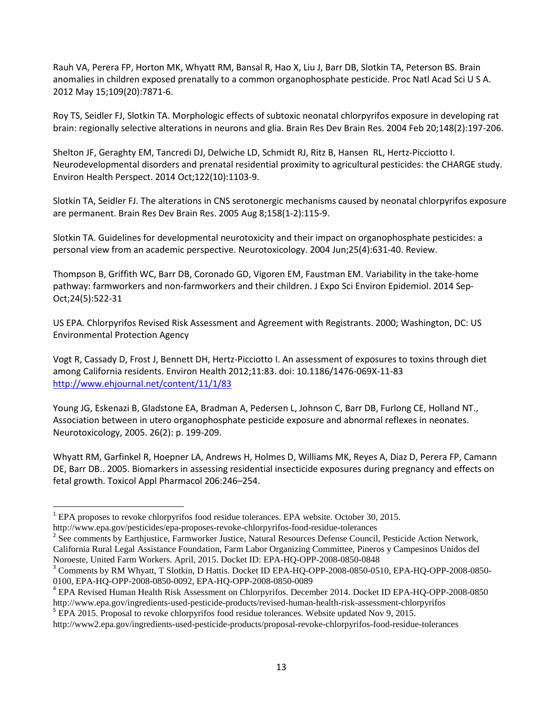<span id="page-12-6"></span><span id="page-12-5"></span>Rauh VA, Perera FP, Horton MK, Whyatt RM, Bansal R, Hao X, Liu J, Barr DB, Slotkin TA, Peterson BS. Brain anomalies in children exposed prenatally to a common organophosphate pesticide. Proc Natl Acad Sci U S A. 2012 May 15;109(20):7871-6.

<span id="page-12-7"></span>Roy TS, Seidler FJ, Slotkin TA. Morphologic effects of subtoxic neonatal chlorpyrifos exposure in developing rat brain: regionally selective alterations in neurons and glia. Brain Res Dev Brain Res. 2004 Feb 20;148(2):197-206.

<span id="page-12-9"></span><span id="page-12-8"></span>Shelton JF, Geraghty EM, Tancredi DJ, Delwiche LD, Schmidt RJ, Ritz B, Hansen RL, Hertz-Picciotto I. Neurodevelopmental disorders and prenatal residential proximity to agricultural pesticides: the CHARGE study. Environ Health Perspect. 2014 Oct;122(10):1103-9.

<span id="page-12-10"></span>Slotkin TA, Seidler FJ. The alterations in CNS serotonergic mechanisms caused by neonatal chlorpyrifos exposure are permanent. Brain Res Dev Brain Res. 2005 Aug 8;158(1-2):115-9.

Slotkin TA. Guidelines for developmental neurotoxicity and their impact on organophosphate pesticides: a personal view from an academic perspective. Neurotoxicology. 2004 Jun;25(4):631-40. Review.

Thompson B, Griffith WC, Barr DB, Coronado GD, Vigoren EM, Faustman EM. Variability in the take-home pathway: farmworkers and non-farmworkers and their children. J Expo Sci Environ Epidemiol. 2014 Sep-Oct;24(5):522-31

US EPA. Chlorpyrifos Revised Risk Assessment and Agreement with Registrants. 2000; Washington, DC: US Environmental Protection Agency

Vogt R, Cassady D, Frost J, Bennett DH, Hertz-Picciotto I. An assessment of exposures to toxins through diet among California residents. Environ Health 2012;11:83. doi: 10.1186/1476-069X-11-83 [http://www.ehjournal.net/content/11/1/83](http://www.ehjournal.net/content/11/1/83pdf/1476-069X-11-83.pdf)

Young JG, Eskenazi B, Gladstone EA, Bradman A, Pedersen L, Johnson C, Barr DB, Furlong CE, Holland NT., Association between in utero organophosphate pesticide exposure and abnormal reflexes in neonates. Neurotoxicology, 2005. 26(2): p. 199-209.

Whyatt RM, Garfinkel R, Hoepner LA, Andrews H, Holmes D, Williams MK, Reyes A, Diaz D, Perera FP, Camann DE, Barr DB.. 2005. Biomarkers in assessing residential insecticide exposures during pregnancy and effects on fetal growth. Toxicol Appl Pharmacol 206:246–254.

<span id="page-12-0"></span> $1$  EPA proposes to revoke chlorpyrifos food residue tolerances. EPA website. October 30, 2015.

<span id="page-12-1"></span>http://www.epa.gov/pesticides/epa-proposes-revoke-chlorpyrifos-food-residue-tolerances<br><sup>2</sup> See comments by Earthjustice, Farmworker Justice, Natural Resources Defense Council, Pesticide Action Network, California Rural Legal Assistance Foundation, Farm Labor Organizing Committee, Pineros y Campesinos Unidos del

<span id="page-12-2"></span>Noroeste, United Farm Workers. April, 2015. Docket ID: EPA-HQ-OPP-2008-0850-0848<br><sup>3</sup> Comments by RM Whyatt, T Slotkin, D Hattis. Docket ID EPA-HQ-OPP-2008-0850-0510, EPA-HQ-OPP-2008-0850-0100, EPA-HQ-OPP-2008-0850-0092, EPA-HQ-OPP-2008-0850-0089<br><sup>4</sup> EPA Revised Human Health Risk Assessment on Chlorpyrifos. December 2014. Docket ID EPA-HQ-OPP-2008-0850

<span id="page-12-3"></span>http://www.epa.gov/ingredients-used-pesticide-products/revised-human-health-risk-assessment-chlorpyrifos 5 EPA 2015. Proposal to revoke chlorpyrifos food residue tolerances. Website updated Nov 9, 2015.

<span id="page-12-4"></span>http://www2.epa.gov/ingredients-used-pesticide-products/proposal-revoke-chlorpyrifos-food-residue-tolerances